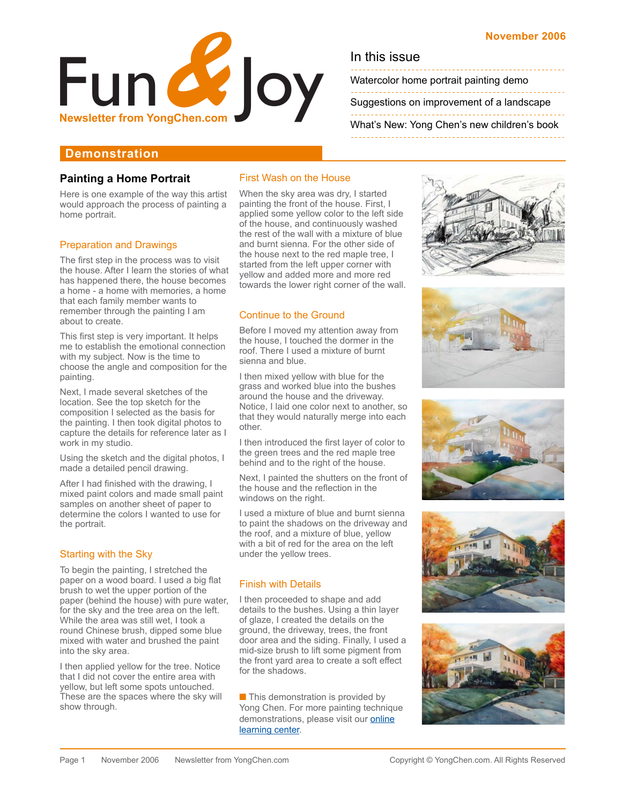

Watercolor home portrait painting demo

[Suggestions on improvement of a landscape](#page-1-0)

[What's New: Yong Chen's new children's book](#page-1-0) 

# **Demonstration**

# **Painting a Home Portrait**

Here is one example of the way this artist would approach the process of painting a home portrait.

## Preparation and Drawings

The first step in the process was to visit the house. After I learn the stories of what has happened there, the house becomes a home - a home with memories, a home that each family member wants to remember through the painting I am about to create.

This first step is very important. It helps me to establish the emotional connection with my subject. Now is the time to choose the angle and composition for the painting.

Next, I made several sketches of the location. See the top sketch for the composition I selected as the basis for the painting. I then took digital photos to capture the details for reference later as I work in my studio.

Using the sketch and the digital photos, I made a detailed pencil drawing.

After I had finished with the drawing, I mixed paint colors and made small paint samples on another sheet of paper to determine the colors I wanted to use for the portrait.

## Starting with the Sky

To begin the painting, I stretched the paper on a wood board. I used a big flat brush to wet the upper portion of the paper (behind the house) with pure water, for the sky and the tree area on the left. While the area was still wet, I took a round Chinese brush, dipped some blue mixed with water and brushed the paint into the sky area.

I then applied yellow for the tree. Notice that I did not cover the entire area with yellow, but left some spots untouched. These are the spaces where the sky will show through.

## First Wash on the House

When the sky area was dry, I started painting the front of the house. First, I applied some yellow color to the left side of the house, and continuously washed the rest of the wall with a mixture of blue and burnt sienna. For the other side of the house next to the red maple tree, I started from the left upper corner with yellow and added more and more red towards the lower right corner of the wall.

## Continue to the Ground

Before I moved my attention away from the house, I touched the dormer in the roof. There I used a mixture of burnt sienna and blue.

I then mixed yellow with blue for the grass and worked blue into the bushes around the house and the driveway. Notice, I laid one color next to another, so that they would naturally merge into each other.

I then introduced the first layer of color to the green trees and the red maple tree behind and to the right of the house.

Next, I painted the shutters on the front of the house and the reflection in the windows on the right.

I used a mixture of blue and burnt sienna to paint the shadows on the driveway and the roof, and a mixture of blue, yellow with a bit of red for the area on the left under the yellow trees.

# Finish with Details

I then proceeded to shape and add details to the bushes. Using a thin layer of glaze, I created the details on the ground, the driveway, trees, the front door area and the siding. Finally, I used a mid-size brush to lift some pigment from the front yard area to create a soft effect for the shadows.

■ This demonstration is provided by Yong Chen. For more painting technique [demonstrations, please visit our online](http://www.yongchen.com/index_learning.html)  learning center.







![](_page_0_Picture_32.jpeg)

![](_page_0_Picture_33.jpeg)